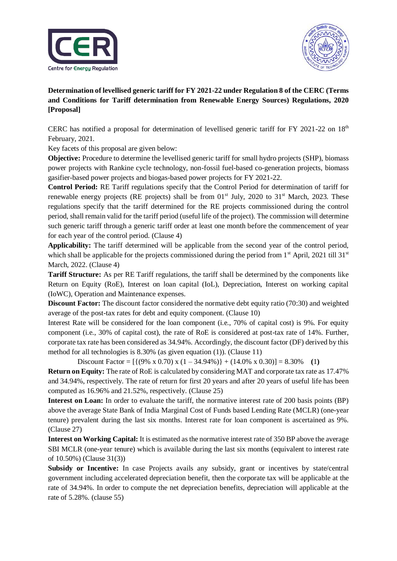



**Determination of levellised generic tariff for FY 2021-22 under Regulation 8 of the CERC (Terms and Conditions for Tariff determination from Renewable Energy Sources) Regulations, 2020 [Proposal]**

CERC has notified a proposal for determination of levellised generic tariff for FY 2021-22 on  $18<sup>th</sup>$ February, 2021.

Key facets of this proposal are given below:

**Objective:** Procedure to determine the levellised generic tariff for small hydro projects (SHP), biomass power projects with Rankine cycle technology, non-fossil fuel-based co-generation projects, biomass gasifier-based power projects and biogas-based power projects for FY 2021-22.

**Control Period:** RE Tariff regulations specify that the Control Period for determination of tariff for renewable energy projects (RE projects) shall be from  $01<sup>st</sup>$  July, 2020 to 31<sup>st</sup> March, 2023. These regulations specify that the tariff determined for the RE projects commissioned during the control period, shall remain valid for the tariff period (useful life of the project). The commission will determine such generic tariff through a generic tariff order at least one month before the commencement of year for each year of the control period. (Clause 4)

**Applicability:** The tariff determined will be applicable from the second year of the control period, which shall be applicable for the projects commissioned during the period from  $1<sup>st</sup>$  April, 2021 till 31 $<sup>st</sup>$ </sup> March, 2022. (Clause 4)

**Tariff Structure:** As per RE Tariff regulations, the tariff shall be determined by the components like Return on Equity (RoE), Interest on loan capital (IoL), Depreciation, Interest on working capital (IoWC), Operation and Maintenance expenses.

**Discount Factor:** The discount factor considered the normative debt equity ratio (70:30) and weighted average of the post-tax rates for debt and equity component. (Clause 10)

Interest Rate will be considered for the loan component (i.e., 70% of capital cost) is 9%. For equity component (i.e., 30% of capital cost), the rate of RoE is considered at post-tax rate of 14%. Further, corporate tax rate has been considered as 34.94%. Accordingly, the discount factor (DF) derived by this method for all technologies is 8.30% (as given equation (1)). (Clause 11)

Discount Factor =  $[{(9\% \times 0.70) \times (1 - 34.94\%)} + (14.0\% \times 0.30)] = 8.30\%$  (1)

**Return on Equity:** The rate of RoE is calculated by considering MAT and corporate tax rate as 17.47% and 34.94%, respectively. The rate of return for first 20 years and after 20 years of useful life has been computed as 16.96% and 21.52%, respectively. (Clause 25)

**Interest on Loan:** In order to evaluate the tariff, the normative interest rate of 200 basis points (BP) above the average State Bank of India Marginal Cost of Funds based Lending Rate (MCLR) (one-year tenure) prevalent during the last six months. Interest rate for loan component is ascertained as 9%. (Clause 27)

**Interest on Working Capital:** It is estimated as the normative interest rate of 350 BP above the average SBI MCLR (one-year tenure) which is available during the last six months (equivalent to interest rate of 10.50%) (Clause 31(3))

**Subsidy or Incentive:** In case Projects avails any subsidy, grant or incentives by state/central government including accelerated depreciation benefit, then the corporate tax will be applicable at the rate of 34.94%. In order to compute the net depreciation benefits, depreciation will applicable at the rate of 5.28%. (clause 55)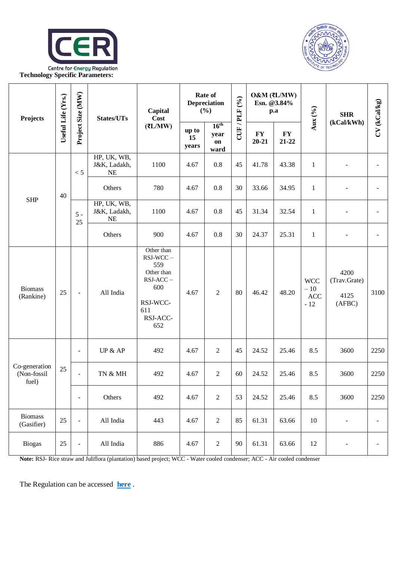



| Projects                              | Useful Life (Yrs.) | Project Size (MW)        | States/UTs                               | Capital<br>Cost<br>(7L/MW)                                                                                | Rate of<br>Depreciation<br>(%) |                                        | (9/6)          | $O&M(\overline{\mathfrak{r}}L/MW)$<br>Esn. @3.84%<br>$\mathbf{p}.\mathbf{a}$ |                        | Aux $(9/6)$                         | <b>SHR</b>                             | CV (kCal/kg)   |
|---------------------------------------|--------------------|--------------------------|------------------------------------------|-----------------------------------------------------------------------------------------------------------|--------------------------------|----------------------------------------|----------------|------------------------------------------------------------------------------|------------------------|-------------------------------------|----------------------------------------|----------------|
|                                       |                    |                          |                                          |                                                                                                           | up to<br>15<br>years           | 16 <sup>th</sup><br>year<br>on<br>ward | <b>CUF/PLF</b> | ${\bf F}{\bf Y}$<br>$20 - 21$                                                | <b>FY</b><br>$21 - 22$ |                                     | (kCal/kWh)                             |                |
| <b>SHP</b>                            | 40                 | < 5                      | HP, UK, WB,<br>J&K, Ladakh,<br><b>NE</b> | 1100                                                                                                      | 4.67                           | $0.8\,$                                | 45             | 41.78                                                                        | 43.38                  | $\mathbf{1}$                        |                                        |                |
|                                       |                    |                          | Others                                   | 780                                                                                                       | 4.67                           | 0.8                                    | 30             | 33.66                                                                        | 34.95                  | $\mathbf{1}$                        |                                        |                |
|                                       |                    | $5 -$<br>25              | HP, UK, WB,<br>J&K, Ladakh,<br><b>NE</b> | 1100                                                                                                      | 4.67                           | 0.8                                    | 45             | 31.34                                                                        | 32.54                  | $\mathbf{1}$                        |                                        |                |
|                                       |                    |                          | Others                                   | 900                                                                                                       | 4.67                           | 0.8                                    | 30             | 24.37                                                                        | 25.31                  | $\mathbf{1}$                        |                                        |                |
| <b>Biomass</b><br>(Rankine)           | 25                 | $\overline{\phantom{a}}$ | All India                                | Other than<br>$RSJ-WCC -$<br>559<br>Other than<br>$RSJ-ACC-$<br>600<br>RSJ-WCC-<br>611<br>RSJ-ACC-<br>652 | 4.67                           | $\overline{2}$                         | 80             | 46.42                                                                        | 48.20                  | <b>WCC</b><br>$-10$<br>ACC<br>$-12$ | 4200<br>(Trav.Grate)<br>4125<br>(AFBC) | 3100           |
| Co-generation<br>(Non-fossil<br>fuel) | 25                 | $\overline{\phantom{a}}$ | UP $&$ AP                                | 492                                                                                                       | 4.67                           | $\boldsymbol{2}$                       | 45             | 24.52                                                                        | 25.46                  | 8.5                                 | 3600                                   | 2250           |
|                                       |                    | $\overline{\phantom{a}}$ | TN & MH                                  | 492                                                                                                       | 4.67                           | $\overline{2}$                         | 60             | 24.52                                                                        | 25.46                  | 8.5                                 | 3600                                   | 2250           |
|                                       |                    | $\equiv$                 | Others                                   | 492                                                                                                       | 4.67                           | $\sqrt{2}$                             | 53             | 24.52                                                                        | 25.46                  | 8.5                                 | 3600                                   | 2250           |
| <b>Biomass</b><br>(Gasifier)          | 25                 | $\blacksquare$           | All India                                | 443                                                                                                       | 4.67                           | $\sqrt{2}$                             | 85             | 61.31                                                                        | 63.66                  | $10\,$                              | $\blacksquare$                         | $\blacksquare$ |
| <b>Biogas</b>                         | $25\,$             | $\overline{\phantom{a}}$ | All India                                | 886                                                                                                       | 4.67                           | $\sqrt{2}$                             | 90             | 61.31                                                                        | 63.66                  | 12                                  | -                                      |                |

Note: RSJ- Rice straw and Juliflora (plantation) based project; WCC - Water cooled condenser; ACC - Air cooled condenser

The Regulation can be accessed **[here](http://cercind.gov.in/2021/whatsnew/Proposal%20for%20RE%20Tariff%20Order%202021-22.pdf)** .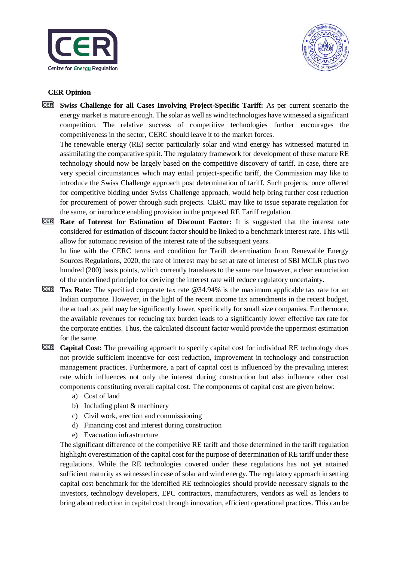



## **CER Opinion –**

**CER Swiss Challenge for all Cases Involving Project-Specific Tariff:** As per current scenario the energy market is mature enough. The solar as well as wind technologies have witnessed a significant competition. The relative success of competitive technologies further encourages the competitiveness in the sector, CERC should leave it to the market forces.

The renewable energy (RE) sector particularly solar and wind energy has witnessed matured in assimilating the comparative spirit. The regulatory framework for development of these mature RE technology should now be largely based on the competitive discovery of tariff. In case, there are very special circumstances which may entail project-specific tariff, the Commission may like to introduce the Swiss Challenge approach post determination of tariff. Such projects, once offered for competitive bidding under Swiss Challenge approach, would help bring further cost reduction for procurement of power through such projects. CERC may like to issue separate regulation for the same, or introduce enabling provision in the proposed RE Tariff regulation.

**Rate of Interest for Estimation of Discount Factor:** It is suggested that the interest rate considered for estimation of discount factor should be linked to a benchmark interest rate. This will allow for automatic revision of the interest rate of the subsequent years.

In line with the CERC terms and condition for Tariff determination from Renewable Energy Sources Regulations, 2020, the rate of interest may be set at rate of interest of SBI MCLR plus two hundred (200) basis points, which currently translates to the same rate however, a clear enunciation of the underlined principle for deriving the interest rate will reduce regulatory uncertainty.

- **Tax Rate:** The specified corporate tax rate @34.94% is the maximum applicable tax rate for an Indian corporate. However, in the light of the recent income tax amendments in the recent budget, the actual tax paid may be significantly lower, specifically for small size companies. Furthermore, the available revenues for reducing tax burden leads to a significantly lower effective tax rate for the corporate entities. Thus, the calculated discount factor would provide the uppermost estimation for the same.
- **Capital Cost:** The prevailing approach to specify capital cost for individual RE technology does not provide sufficient incentive for cost reduction, improvement in technology and construction management practices. Furthermore, a part of capital cost is influenced by the prevailing interest rate which influences not only the interest during construction but also influence other cost components constituting overall capital cost. The components of capital cost are given below:
	- a) Cost of land
	- b) Including plant & machinery
	- c) Civil work, erection and commissioning
	- d) Financing cost and interest during construction
	- e) Evacuation infrastructure

The significant difference of the competitive RE tariff and those determined in the tariff regulation highlight overestimation of the capital cost for the purpose of determination of RE tariff under these regulations. While the RE technologies covered under these regulations has not yet attained sufficient maturity as witnessed in case of solar and wind energy. The regulatory approach in setting capital cost benchmark for the identified RE technologies should provide necessary signals to the investors, technology developers, EPC contractors, manufacturers, vendors as well as lenders to bring about reduction in capital cost through innovation, efficient operational practices. This can be